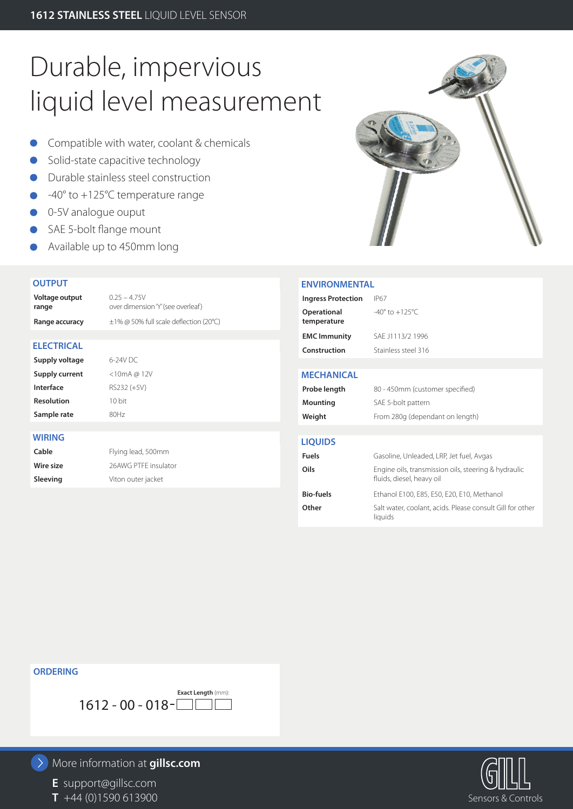# Durable, impervious liquid level measurement

- **Compatible with water, coolant & chemicals**
- Solid-state capacitive technology
- Durable stainless steel construction
- -40° to +125°C temperature range
- 0-5V analogue ouput
- SAE 5-bolt flange mount
- Available up to 450mm long

### **OUTPUT**

| Voltage output<br>range | $0.25 - 4.75V$<br>over dimension 'Y' (see overleaf) |
|-------------------------|-----------------------------------------------------|
| Range accuracy          | $\pm$ 1% @ 50% full scale deflection (20°C)         |
|                         |                                                     |
| <b>ELECTRICAL</b>       |                                                     |
| Supply voltage          | 6-24V DC                                            |
| Supply current          | < 10mA @ 12V                                        |
| Interface               | RS232 (+5V)                                         |
| <b>Resolution</b>       | 10 bit                                              |
| Sample rate             | 80Hz                                                |
|                         |                                                     |
| WIRING                  |                                                     |
| Cable                   | Flying lead, 500mm                                  |
| Wire size               | 26AWG PTFF insulator                                |
| Sleeving                | Viton outer jacket                                  |
|                         |                                                     |



### **ENVIRONMENTAL**

| <b>Ingress Protection</b>  | IP67                                                                              |
|----------------------------|-----------------------------------------------------------------------------------|
| Operational<br>temperature | $-40^{\circ}$ to $+125^{\circ}$ C                                                 |
| <b>EMC Immunity</b>        | SAE J1113/2 1996                                                                  |
| Construction               | Stainless steel 316                                                               |
|                            |                                                                                   |
| <b>MECHANICAL</b>          |                                                                                   |
| Probe length               | 80 - 450mm (customer specified)                                                   |
| Mounting                   | SAE 5-bolt pattern                                                                |
| Weight                     | From 280g (dependant on length)                                                   |
|                            |                                                                                   |
| <b>LIQUIDS</b>             |                                                                                   |
| <b>Fuels</b>               | Gasoline, Unleaded, LRP, Jet fuel, Avgas                                          |
| Oils                       | Engine oils, transmission oils, steering & hydraulic<br>fluids, diesel, heavy oil |
| <b>Bio-fuels</b>           | Ethanol E100, E85, E50, E20, E10, Methanol                                        |
| Other                      | Salt water, coolant, acids. Please consult Gill for other<br>liquids              |
|                            |                                                                                   |

## **ORDERING**



# More information at **gillsc.com**

**E** support@gillsc.com **T** +44 (0)1590 613900 Sensors & Controls